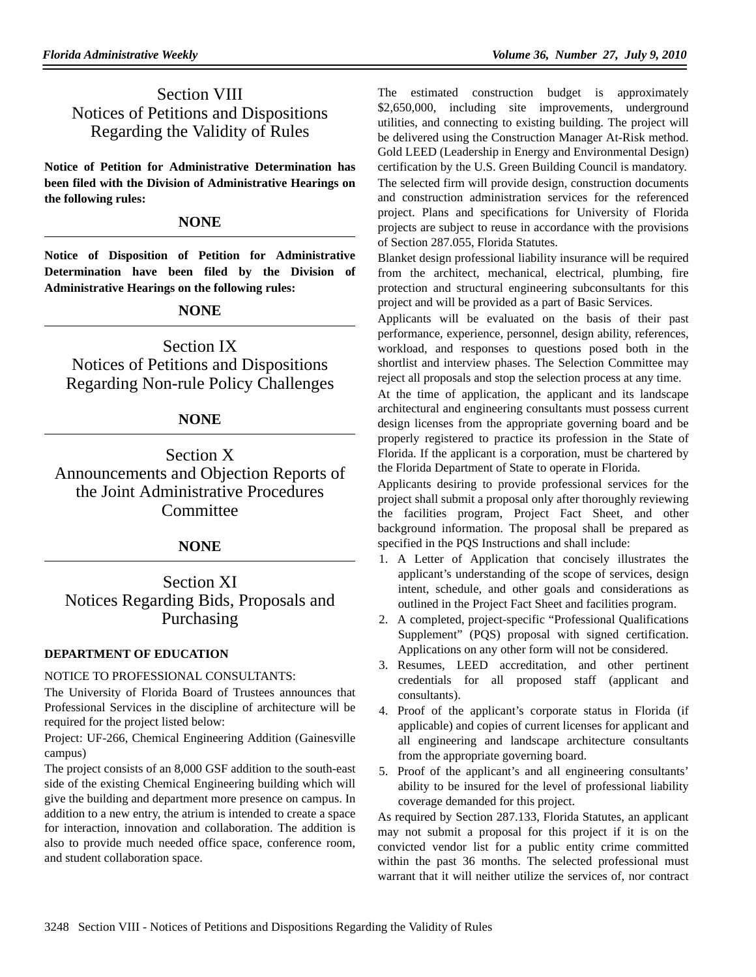# Section VIII Notices of Petitions and Dispositions Regarding the Validity of Rules

**Notice of Petition for Administrative Determination has been filed with the Division of Administrative Hearings on the following rules:**

### **NONE**

**Notice of Disposition of Petition for Administrative Determination have been filed by the Division of Administrative Hearings on the following rules:**

## **NONE**

Section IX Notices of Petitions and Dispositions Regarding Non-rule Policy Challenges

## **NONE**

Section X Announcements and Objection Reports of the Joint Administrative Procedures **Committee** 

## **NONE**

Section XI Notices Regarding Bids, Proposals and Purchasing

### **DEPARTMENT OF EDUCATION**

### NOTICE TO PROFESSIONAL CONSULTANTS:

The University of Florida Board of Trustees announces that Professional Services in the discipline of architecture will be required for the project listed below:

Project: UF-266, Chemical Engineering Addition (Gainesville campus)

The project consists of an 8,000 GSF addition to the south-east side of the existing Chemical Engineering building which will give the building and department more presence on campus. In addition to a new entry, the atrium is intended to create a space for interaction, innovation and collaboration. The addition is also to provide much needed office space, conference room, and student collaboration space.

The estimated construction budget is approximately \$2,650,000, including site improvements, underground utilities, and connecting to existing building. The project will be delivered using the Construction Manager At-Risk method. Gold LEED (Leadership in Energy and Environmental Design) certification by the U.S. Green Building Council is mandatory. The selected firm will provide design, construction documents and construction administration services for the referenced project. Plans and specifications for University of Florida projects are subject to reuse in accordance with the provisions of Section 287.055, Florida Statutes.

Blanket design professional liability insurance will be required from the architect, mechanical, electrical, plumbing, fire protection and structural engineering subconsultants for this project and will be provided as a part of Basic Services.

Applicants will be evaluated on the basis of their past performance, experience, personnel, design ability, references, workload, and responses to questions posed both in the shortlist and interview phases. The Selection Committee may reject all proposals and stop the selection process at any time.

At the time of application, the applicant and its landscape architectural and engineering consultants must possess current design licenses from the appropriate governing board and be properly registered to practice its profession in the State of Florida. If the applicant is a corporation, must be chartered by the Florida Department of State to operate in Florida.

Applicants desiring to provide professional services for the project shall submit a proposal only after thoroughly reviewing the facilities program, Project Fact Sheet, and other background information. The proposal shall be prepared as specified in the PQS Instructions and shall include:

- 1. A Letter of Application that concisely illustrates the applicant's understanding of the scope of services, design intent, schedule, and other goals and considerations as outlined in the Project Fact Sheet and facilities program.
- 2. A completed, project-specific "Professional Qualifications Supplement" (PQS) proposal with signed certification. Applications on any other form will not be considered.
- 3. Resumes, LEED accreditation, and other pertinent credentials for all proposed staff (applicant and consultants).
- 4. Proof of the applicant's corporate status in Florida (if applicable) and copies of current licenses for applicant and all engineering and landscape architecture consultants from the appropriate governing board.
- 5. Proof of the applicant's and all engineering consultants' ability to be insured for the level of professional liability coverage demanded for this project.

As required by Section 287.133, Florida Statutes, an applicant may not submit a proposal for this project if it is on the convicted vendor list for a public entity crime committed within the past 36 months. The selected professional must warrant that it will neither utilize the services of, nor contract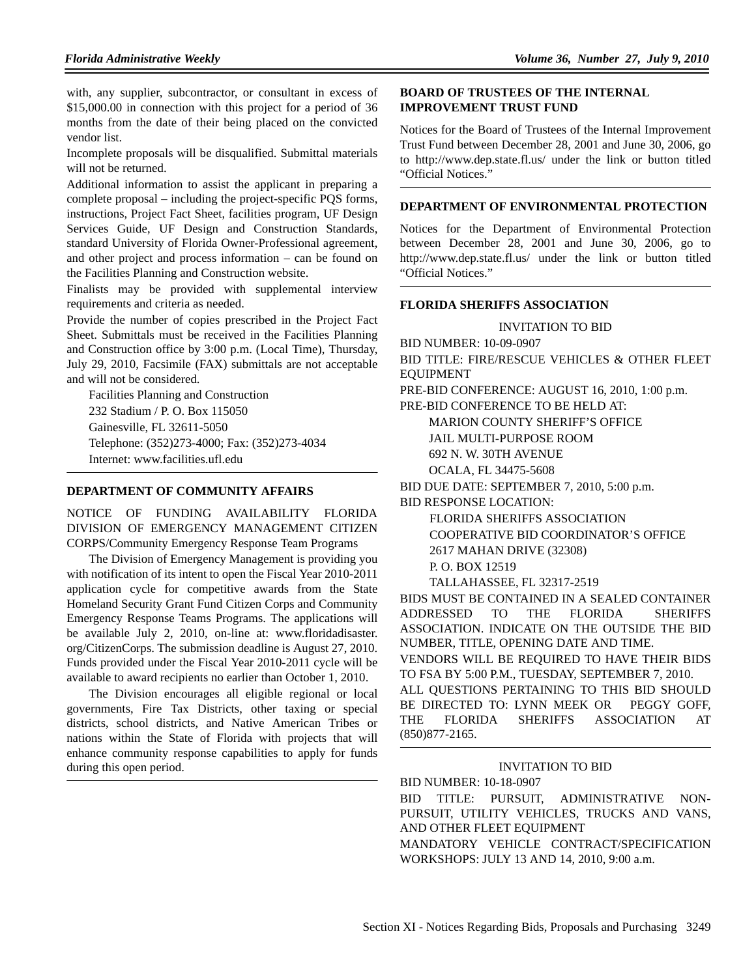with, any supplier, subcontractor, or consultant in excess of \$15,000.00 in connection with this project for a period of 36 months from the date of their being placed on the convicted vendor list.

Incomplete proposals will be disqualified. Submittal materials will not be returned.

Additional information to assist the applicant in preparing a complete proposal – including the project-specific PQS forms, instructions, Project Fact Sheet, facilities program, UF Design Services Guide, UF Design and Construction Standards, standard University of Florida Owner-Professional agreement, and other project and process information – can be found on the Facilities Planning and Construction website.

Finalists may be provided with supplemental interview requirements and criteria as needed.

Provide the number of copies prescribed in the Project Fact Sheet. Submittals must be received in the Facilities Planning and Construction office by 3:00 p.m. (Local Time), Thursday, July 29, 2010, Facsimile (FAX) submittals are not acceptable and will not be considered.

Facilities Planning and Construction 232 Stadium / P. O. Box 115050 Gainesville, FL 32611-5050 Telephone: (352)273-4000; Fax: (352)273-4034 Internet: www.facilities.ufl.edu

#### **DEPARTMENT OF COMMUNITY AFFAIRS**

NOTICE OF FUNDING AVAILABILITY FLORIDA DIVISION OF EMERGENCY MANAGEMENT CITIZEN CORPS/Community Emergency Response Team Programs

The Division of Emergency Management is providing you with notification of its intent to open the Fiscal Year 2010-2011 application cycle for competitive awards from the State Homeland Security Grant Fund Citizen Corps and Community Emergency Response Teams Programs. The applications will be available July 2, 2010, on-line at: www.floridadisaster. org/CitizenCorps. The submission deadline is August 27, 2010. Funds provided under the Fiscal Year 2010-2011 cycle will be available to award recipients no earlier than October 1, 2010.

The Division encourages all eligible regional or local governments, Fire Tax Districts, other taxing or special districts, school districts, and Native American Tribes or nations within the State of Florida with projects that will enhance community response capabilities to apply for funds during this open period.

#### **BOARD OF TRUSTEES OF THE INTERNAL IMPROVEMENT TRUST FUND**

Notices for the Board of Trustees of the Internal Improvement Trust Fund between December 28, 2001 and June 30, 2006, go to http://www.dep.state.fl.us/ under the link or button titled "Official Notices."

#### **DEPARTMENT OF ENVIRONMENTAL PROTECTION**

Notices for the Department of Environmental Protection between December 28, 2001 and June 30, 2006, go to http://www.dep.state.fl.us/ under the link or button titled "Official Notices."

#### **FLORIDA SHERIFFS ASSOCIATION**

#### INVITATION TO BID

BID NUMBER: 10-09-0907

BID TITLE: FIRE/RESCUE VEHICLES & OTHER FLEET EQUIPMENT

PRE-BID CONFERENCE: AUGUST 16, 2010, 1:00 p.m.

PRE-BID CONFERENCE TO BE HELD AT:

MARION COUNTY SHERIFF'S OFFICE

JAIL MULTI-PURPOSE ROOM

692 N. W. 30TH AVENUE

OCALA, FL 34475-5608

BID DUE DATE: SEPTEMBER 7, 2010, 5:00 p.m.

BID RESPONSE LOCATION:

FLORIDA SHERIFFS ASSOCIATION

COOPERATIVE BID COORDINATOR'S OFFICE

2617 MAHAN DRIVE (32308)

P. O. BOX 12519

TALLAHASSEE, FL 32317-2519

BIDS MUST BE CONTAINED IN A SEALED CONTAINER ADDRESSED TO THE FLORIDA SHERIFFS ASSOCIATION. INDICATE ON THE OUTSIDE THE BID NUMBER, TITLE, OPENING DATE AND TIME.

VENDORS WILL BE REQUIRED TO HAVE THEIR BIDS TO FSA BY 5:00 P.M., TUESDAY, SEPTEMBER 7, 2010.

ALL QUESTIONS PERTAINING TO THIS BID SHOULD BE DIRECTED TO: LYNN MEEK OR PEGGY GOFF, THE FLORIDA SHERIFFS ASSOCIATION AT (850)877-2165.

### INVITATION TO BID

BID NUMBER: 10-18-0907

BID TITLE: PURSUIT, ADMINISTRATIVE NON-PURSUIT, UTILITY VEHICLES, TRUCKS AND VANS, AND OTHER FLEET EQUIPMENT

MANDATORY VEHICLE CONTRACT/SPECIFICATION WORKSHOPS: JULY 13 AND 14, 2010, 9:00 a.m.